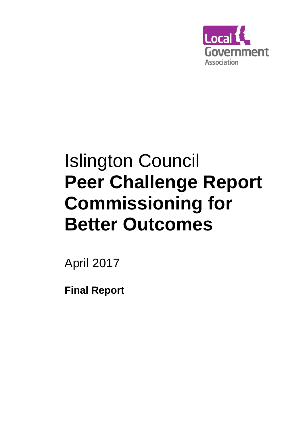

# Islington Council **Peer Challenge Report Commissioning for Better Outcomes**

April 2017

**Final Report**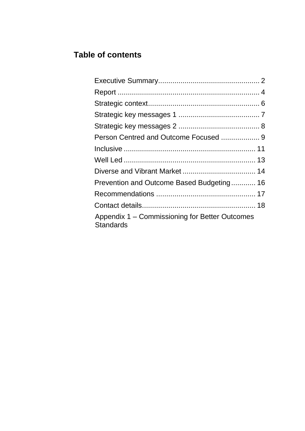# **Table of contents**

| Prevention and Outcome Based Budgeting 16                          |  |
|--------------------------------------------------------------------|--|
|                                                                    |  |
|                                                                    |  |
| Appendix 1 – Commissioning for Better Outcomes<br><b>Standards</b> |  |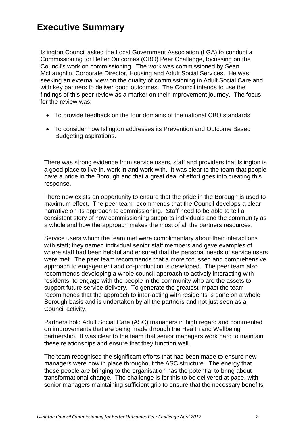# **Executive Summary**

Islington Council asked the Local Government Association (LGA) to conduct a Commissioning for Better Outcomes (CBO) Peer Challenge, focussing on the Council's work on commissioning. The work was commissioned by Sean McLaughlin, Corporate Director, Housing and Adult Social Services. He was seeking an external view on the quality of commissioning in Adult Social Care and with key partners to deliver good outcomes. The Council intends to use the findings of this peer review as a marker on their improvement journey. The focus for the review was:

- To provide feedback on the four domains of the national CBO standards
- To consider how Islington addresses its Prevention and Outcome Based Budgeting aspirations.

There was strong evidence from service users, staff and providers that Islington is a good place to live in, work in and work with. It was clear to the team that people have a pride in the Borough and that a great deal of effort goes into creating this response.

There now exists an opportunity to ensure that the pride in the Borough is used to maximum effect. The peer team recommends that the Council develops a clear narrative on its approach to commissioning. Staff need to be able to tell a consistent story of how commissioning supports individuals and the community as a whole and how the approach makes the most of all the partners resources.

Service users whom the team met were complimentary about their interactions with staff; they named individual senior staff members and gave examples of where staff had been helpful and ensured that the personal needs of service users were met. The peer team recommends that a more focussed and comprehensive approach to engagement and co-production is developed. The peer team also recommends developing a whole council approach to actively interacting with residents, to engage with the people in the community who are the assets to support future service delivery. To generate the greatest impact the team recommends that the approach to inter-acting with residents is done on a whole Borough basis and is undertaken by all the partners and not just seen as a Council activity.

Partners hold Adult Social Care (ASC) managers in high regard and commented on improvements that are being made through the Health and Wellbeing partnership. It was clear to the team that senior managers work hard to maintain these relationships and ensure that they function well.

The team recognised the significant efforts that had been made to ensure new managers were now in place throughout the ASC structure. The energy that these people are bringing to the organisation has the potential to bring about transformational change. The challenge is for this to be delivered at pace, with senior managers maintaining sufficient grip to ensure that the necessary benefits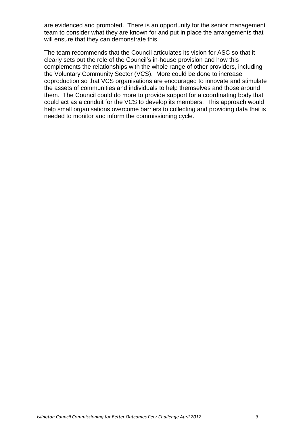are evidenced and promoted. There is an opportunity for the senior management team to consider what they are known for and put in place the arrangements that will ensure that they can demonstrate this

The team recommends that the Council articulates its vision for ASC so that it clearly sets out the role of the Council's in-house provision and how this complements the relationships with the whole range of other providers, including the Voluntary Community Sector (VCS). More could be done to increase coproduction so that VCS organisations are encouraged to innovate and stimulate the assets of communities and individuals to help themselves and those around them. The Council could do more to provide support for a coordinating body that could act as a conduit for the VCS to develop its members. This approach would help small organisations overcome barriers to collecting and providing data that is needed to monitor and inform the commissioning cycle.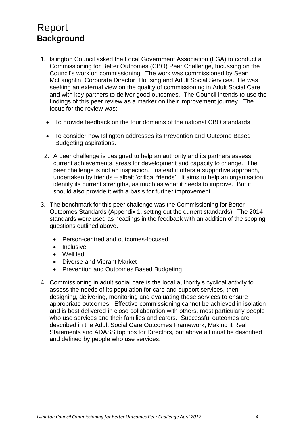# <span id="page-4-0"></span>Report **Background**

- 1. Islington Council asked the Local Government Association (LGA) to conduct a Commissioning for Better Outcomes (CBO) Peer Challenge, focussing on the Council's work on commissioning. The work was commissioned by Sean McLaughlin, Corporate Director, Housing and Adult Social Services. He was seeking an external view on the quality of commissioning in Adult Social Care and with key partners to deliver good outcomes. The Council intends to use the findings of this peer review as a marker on their improvement journey. The focus for the review was:
	- To provide feedback on the four domains of the national CBO standards
	- To consider how Islington addresses its Prevention and Outcome Based Budgeting aspirations.
	- 2. A peer challenge is designed to help an authority and its partners assess current achievements, areas for development and capacity to change. The peer challenge is not an inspection. Instead it offers a supportive approach, undertaken by friends – albeit 'critical friends'. It aims to help an organisation identify its current strengths, as much as what it needs to improve. But it should also provide it with a basis for further improvement.
- 3. The benchmark for this peer challenge was the Commissioning for Better Outcomes Standards (Appendix 1, setting out the current standards). The 2014 standards were used as headings in the feedback with an addition of the scoping questions outlined above.
	- Person-centred and outcomes-focused
	- Inclusive
	- Well led
	- Diverse and Vibrant Market
	- Prevention and Outcomes Based Budgeting
- 4. Commissioning in adult social care is the local authority's cyclical activity to assess the needs of its population for care and support services, then designing, delivering, monitoring and evaluating those services to ensure appropriate outcomes. Effective commissioning cannot be achieved in isolation and is best delivered in close collaboration with others, most particularly people who use services and their families and carers. Successful outcomes are described in the Adult Social Care Outcomes Framework, Making it Real Statements and ADASS top tips for Directors, but above all must be described and defined by people who use services.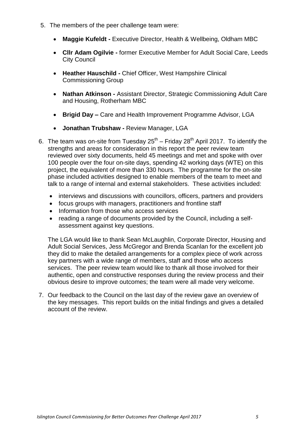- 5. The members of the peer challenge team were:
	- **Maggie Kufeldt -** Executive Director, Health & Wellbeing, Oldham MBC
	- **Cllr Adam Ogilvie -** former Executive Member for Adult Social Care, Leeds City Council
	- **Heather Hauschild -** Chief Officer, West Hampshire Clinical Commissioning Group
	- **Nathan Atkinson -** Assistant Director, Strategic Commissioning Adult Care and Housing, Rotherham MBC
	- **Brigid Day –** Care and Health Improvement Programme Advisor, LGA
	- **Jonathan Trubshaw -** Review Manager, LGA
- 6. The team was on-site from Tuesday  $25<sup>th</sup>$  Friday  $28<sup>th</sup>$  April 2017. To identify the strengths and areas for consideration in this report the peer review team reviewed over sixty documents, held 45 meetings and met and spoke with over 100 people over the four on-site days, spending 42 working days (WTE) on this project, the equivalent of more than 330 hours. The programme for the on-site phase included activities designed to enable members of the team to meet and talk to a range of internal and external stakeholders. These activities included:
	- interviews and discussions with councillors, officers, partners and providers
	- focus groups with managers, practitioners and frontline staff
	- Information from those who access services
	- reading a range of documents provided by the Council, including a selfassessment against key questions.

The LGA would like to thank Sean McLaughlin, Corporate Director, Housing and Adult Social Services, Jess McGregor and Brenda Scanlan for the excellent job they did to make the detailed arrangements for a complex piece of work across key partners with a wide range of members, staff and those who access services. The peer review team would like to thank all those involved for their authentic, open and constructive responses during the review process and their obvious desire to improve outcomes; the team were all made very welcome.

7. Our feedback to the Council on the last day of the review gave an overview of the key messages. This report builds on the initial findings and gives a detailed account of the review.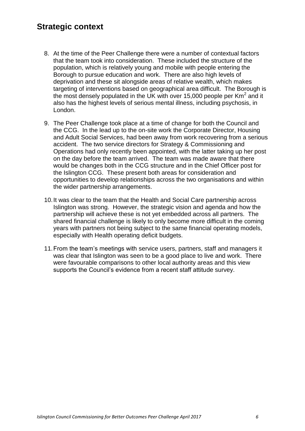#### <span id="page-6-0"></span>**Strategic context**

- 8. At the time of the Peer Challenge there were a number of contextual factors that the team took into consideration. These included the structure of the population, which is relatively young and mobile with people entering the Borough to pursue education and work. There are also high levels of deprivation and these sit alongside areas of relative wealth, which makes targeting of interventions based on geographical area difficult. The Borough is the most densely populated in the UK with over 15,000 people per Km<sup>2</sup> and it also has the highest levels of serious mental illness, including psychosis, in London.
- 9. The Peer Challenge took place at a time of change for both the Council and the CCG. In the lead up to the on-site work the Corporate Director, Housing and Adult Social Services, had been away from work recovering from a serious accident. The two service directors for Strategy & Commissioning and Operations had only recently been appointed, with the latter taking up her post on the day before the team arrived. The team was made aware that there would be changes both in the CCG structure and in the Chief Officer post for the Islington CCG. These present both areas for consideration and opportunities to develop relationships across the two organisations and within the wider partnership arrangements.
- 10.It was clear to the team that the Health and Social Care partnership across Islington was strong. However, the strategic vision and agenda and how the partnership will achieve these is not yet embedded across all partners. The shared financial challenge is likely to only become more difficult in the coming years with partners not being subject to the same financial operating models, especially with Health operating deficit budgets.
- 11.From the team's meetings with service users, partners, staff and managers it was clear that Islington was seen to be a good place to live and work. There were favourable comparisons to other local authority areas and this view supports the Council's evidence from a recent staff attitude survey.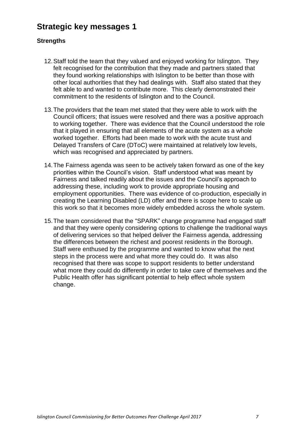## **Strategic key messages 1**

#### **Strengths**

- 12.Staff told the team that they valued and enjoyed working for Islington. They felt recognised for the contribution that they made and partners stated that they found working relationships with Islington to be better than those with other local authorities that they had dealings with. Staff also stated that they felt able to and wanted to contribute more. This clearly demonstrated their commitment to the residents of Islington and to the Council.
- 13.The providers that the team met stated that they were able to work with the Council officers; that issues were resolved and there was a positive approach to working together. There was evidence that the Council understood the role that it played in ensuring that all elements of the acute system as a whole worked together. Efforts had been made to work with the acute trust and Delayed Transfers of Care (DToC) were maintained at relatively low levels, which was recognised and appreciated by partners.
- 14.The Fairness agenda was seen to be actively taken forward as one of the key priorities within the Council's vision. Staff understood what was meant by Fairness and talked readily about the issues and the Council's approach to addressing these, including work to provide appropriate housing and employment opportunities. There was evidence of co-production, especially in creating the Learning Disabled (LD) offer and there is scope here to scale up this work so that it becomes more widely embedded across the whole system.
- 15.The team considered that the "SPARK" change programme had engaged staff and that they were openly considering options to challenge the traditional ways of delivering services so that helped deliver the Fairness agenda, addressing the differences between the richest and poorest residents in the Borough. Staff were enthused by the programme and wanted to know what the next steps in the process were and what more they could do. It was also recognised that there was scope to support residents to better understand what more they could do differently in order to take care of themselves and the Public Health offer has significant potential to help effect whole system change.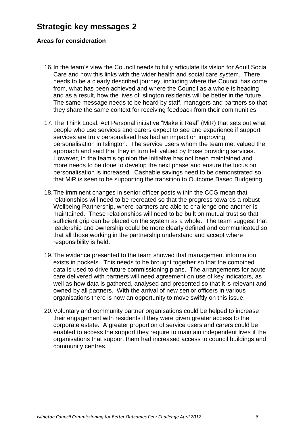#### **Strategic key messages 2**

#### **Areas for consideration**

- 16.In the team's view the Council needs to fully articulate its vision for Adult Social Care and how this links with the wider health and social care system. There needs to be a clearly described journey, including where the Council has come from, what has been achieved and where the Council as a whole is heading and as a result, how the lives of Islington residents will be better in the future. The same message needs to be heard by staff, managers and partners so that they share the same context for receiving feedback from their communities.
- 17.The Think Local, Act Personal initiative "Make it Real" (MiR) that sets out what people who use services and carers expect to see and experience if support services are truly personalised has had an impact on improving personalisation in Islington. The service users whom the team met valued the approach and said that they in turn felt valued by those providing services. However, in the team's opinion the initiative has not been maintained and more needs to be done to develop the next phase and ensure the focus on personalisation is increased. Cashable savings need to be demonstrated so that MiR is seen to be supporting the transition to Outcome Based Budgeting.
- 18.The imminent changes in senior officer posts within the CCG mean that relationships will need to be recreated so that the progress towards a robust Wellbeing Partnership, where partners are able to challenge one another is maintained. These relationships will need to be built on mutual trust so that sufficient grip can be placed on the system as a whole. The team suggest that leadership and ownership could be more clearly defined and communicated so that all those working in the partnership understand and accept where responsibility is held.
- 19.The evidence presented to the team showed that management information exists in pockets. This needs to be brought together so that the combined data is used to drive future commissioning plans. The arrangements for acute care delivered with partners will need agreement on use of key indicators, as well as how data is gathered, analysed and presented so that it is relevant and owned by all partners. With the arrival of new senior officers in various organisations there is now an opportunity to move swiftly on this issue.
- 20.Voluntary and community partner organisations could be helped to increase their engagement with residents if they were given greater access to the corporate estate. A greater proportion of service users and carers could be enabled to access the support they require to maintain independent lives if the organisations that support them had increased access to council buildings and community centres.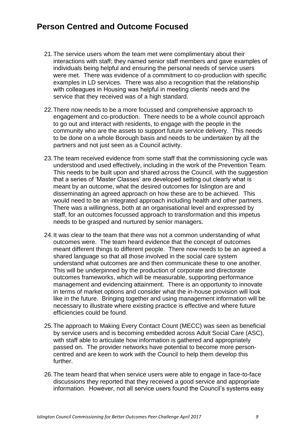#### **Person Centred and Outcome Focused**

- 21.The service users whom the team met were complimentary about their interactions with staff; they named senior staff members and gave examples of individuals being helpful and ensuring the personal needs of service users were met. There was evidence of a commitment to co-production with specific examples in LD services. There was also a recognition that the relationship with colleagues in Housing was helpful in meeting clients' needs and the service that they received was of a high standard.
- 22.There now needs to be a more focussed and comprehensive approach to engagement and co-production. There needs to be a whole council approach to go out and interact with residents, to engage with the people in the community who are the assets to support future service delivery. This needs to be done on a whole Borough basis and needs to be undertaken by all the partners and not just seen as a Council activity.
- 23.The team received evidence from some staff that the commissioning cycle was understood and used effectively, including in the work of the Prevention Team. This needs to be built upon and shared across the Council, with the suggestion that a series of 'Master Classes' are developed setting out clearly what is meant by an outcome, what the desired outcomes for Islington are and disseminating an agreed approach on how these are to be achieved. This would need to be an integrated approach including health and other partners. There was a willingness, both at an organisational level and expressed by staff, for an outcomes focussed approach to transformation and this impetus needs to be grasped and nurtured by senior managers.
- 24.It was clear to the team that there was not a common understanding of what outcomes were. The team heard evidence that the concept of outcomes meant different things to different people. There now needs to be an agreed a shared language so that all those involved in the social care system understand what outcomes are and then communicate these to one another. This will be underpinned by the production of corporate and directorate outcomes frameworks, which will be measurable, supporting performance management and evidencing attainment. There is an opportunity to innovate in terms of market options and consider what the in-house provision will look like in the future. Bringing together and using management information will be necessary to illustrate where existing practice is effective and where future efficiencies could be found.
- 25.The approach to Making Every Contact Count (MECC) was seen as beneficial by service users and is becoming embedded across Adult Social Care (ASC), with staff able to articulate how information is gathered and appropriately passed on. The provider networks have potential to become more personcentred and are keen to work with the Council to help them develop this further.
- 26.The team heard that when service users were able to engage in face-to-face discussions they reported that they received a good service and appropriate information. However, not all service users found the Council's systems easy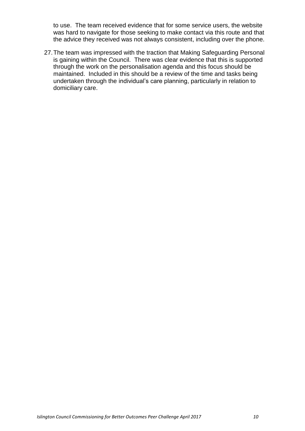to use. The team received evidence that for some service users, the website was hard to navigate for those seeking to make contact via this route and that the advice they received was not always consistent, including over the phone.

27.The team was impressed with the traction that Making Safeguarding Personal is gaining within the Council. There was clear evidence that this is supported through the work on the personalisation agenda and this focus should be maintained. Included in this should be a review of the time and tasks being undertaken through the individual's care planning, particularly in relation to domiciliary care.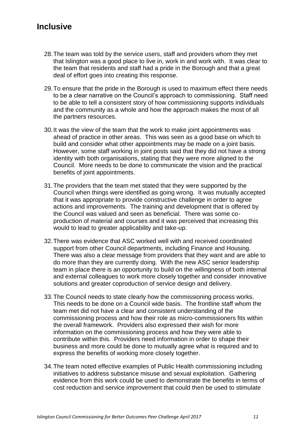## **Inclusive**

- 28.The team was told by the service users, staff and providers whom they met that Islington was a good place to live in, work in and work with. It was clear to the team that residents and staff had a pride in the Borough and that a great deal of effort goes into creating this response.
- 29.To ensure that the pride in the Borough is used to maximum effect there needs to be a clear narrative on the Council's approach to commissioning. Staff need to be able to tell a consistent story of how commissioning supports individuals and the community as a whole and how the approach makes the most of all the partners resources.
- 30.It was the view of the team that the work to make joint appointments was ahead of practice in other areas. This was seen as a good base on which to build and consider what other appointments may be made on a joint basis. However, some staff working in joint posts said that they did not have a strong identity with both organisations, stating that they were more aligned to the Council. More needs to be done to communicate the vision and the practical benefits of joint appointments.
- 31.The providers that the team met stated that they were supported by the Council when things were identified as going wrong. It was mutually accepted that it was appropriate to provide constructive challenge in order to agree actions and improvements. The training and development that is offered by the Council was valued and seen as beneficial. There was some coproduction of material and courses and it was perceived that increasing this would to lead to greater applicability and take-up.
- 32.There was evidence that ASC worked well with and received coordinated support from other Council departments, including Finance and Housing. There was also a clear message from providers that they want and are able to do more than they are currently doing. With the new ASC senior leadership team in place there is an opportunity to build on the willingness of both internal and external colleagues to work more closely together and consider innovative solutions and greater coproduction of service design and delivery.
- 33.The Council needs to state clearly how the commissioning process works. This needs to be done on a Council wide basis. The frontline staff whom the team met did not have a clear and consistent understanding of the commissioning process and how their role as micro-commissioners fits within the overall framework. Providers also expressed their wish for more information on the commissioning process and how they were able to contribute within this. Providers need information in order to shape their business and more could be done to mutually agree what is required and to express the benefits of working more closely together.
- 34.The team noted effective examples of Public Health commissioning including initiatives to address substance misuse and sexual exploitation. Gathering evidence from this work could be used to demonstrate the benefits in terms of cost reduction and service improvement that could then be used to stimulate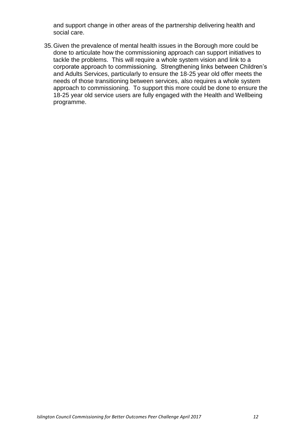and support change in other areas of the partnership delivering health and social care.

35.Given the prevalence of mental health issues in the Borough more could be done to articulate how the commissioning approach can support initiatives to tackle the problems. This will require a whole system vision and link to a corporate approach to commissioning. Strengthening links between Children's and Adults Services, particularly to ensure the 18-25 year old offer meets the needs of those transitioning between services, also requires a whole system approach to commissioning. To support this more could be done to ensure the 18-25 year old service users are fully engaged with the Health and Wellbeing programme.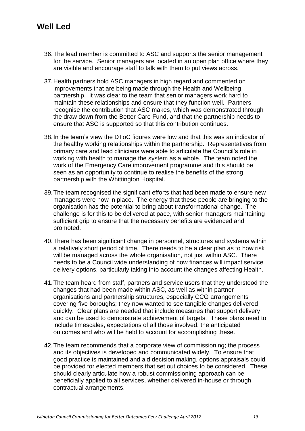## **Well Led**

- 36.The lead member is committed to ASC and supports the senior management for the service. Senior managers are located in an open plan office where they are visible and encourage staff to talk with them to put views across.
- 37.Health partners hold ASC managers in high regard and commented on improvements that are being made through the Health and Wellbeing partnership. It was clear to the team that senior managers work hard to maintain these relationships and ensure that they function well. Partners recognise the contribution that ASC makes, which was demonstrated through the draw down from the Better Care Fund, and that the partnership needs to ensure that ASC is supported so that this contribution continues.
- 38.In the team's view the DToC figures were low and that this was an indicator of the healthy working relationships within the partnership. Representatives from primary care and lead clinicians were able to articulate the Council's role in working with health to manage the system as a whole. The team noted the work of the Emergency Care improvement programme and this should be seen as an opportunity to continue to realise the benefits of the strong partnership with the Whittington Hospital.
- 39.The team recognised the significant efforts that had been made to ensure new managers were now in place. The energy that these people are bringing to the organisation has the potential to bring about transformational change. The challenge is for this to be delivered at pace, with senior managers maintaining sufficient grip to ensure that the necessary benefits are evidenced and promoted.
- 40.There has been significant change in personnel, structures and systems within a relatively short period of time. There needs to be a clear plan as to how risk will be managed across the whole organisation, not just within ASC. There needs to be a Council wide understanding of how finances will impact service delivery options, particularly taking into account the changes affecting Health.
- 41.The team heard from staff, partners and service users that they understood the changes that had been made within ASC, as well as within partner organisations and partnership structures, especially CCG arrangements covering five boroughs; they now wanted to see tangible changes delivered quickly. Clear plans are needed that include measures that support delivery and can be used to demonstrate achievement of targets. These plans need to include timescales, expectations of all those involved, the anticipated outcomes and who will be held to account for accomplishing these.
- 42.The team recommends that a corporate view of commissioning; the process and its objectives is developed and communicated widely. To ensure that good practice is maintained and aid decision making, options appraisals could be provided for elected members that set out choices to be considered. These should clearly articulate how a robust commissioning approach can be beneficially applied to all services, whether delivered in-house or through contractual arrangements.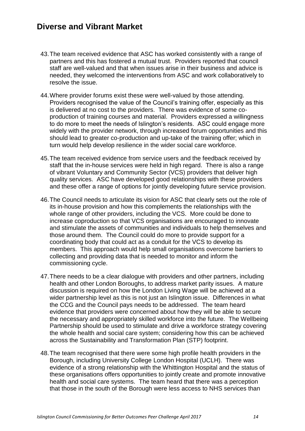#### **Diverse and Vibrant Market**

- 43.The team received evidence that ASC has worked consistently with a range of partners and this has fostered a mutual trust. Providers reported that council staff are well-valued and that when issues arise in their business and advice is needed, they welcomed the interventions from ASC and work collaboratively to resolve the issue.
- 44.Where provider forums exist these were well-valued by those attending. Providers recognised the value of the Council's training offer, especially as this is delivered at no cost to the providers. There was evidence of some coproduction of training courses and material. Providers expressed a willingness to do more to meet the needs of Islington's residents. ASC could engage more widely with the provider network, through increased forum opportunities and this should lead to greater co-production and up-take of the training offer; which in turn would help develop resilience in the wider social care workforce.
- 45.The team received evidence from service users and the feedback received by staff that the in-house services were held in high regard. There is also a range of vibrant Voluntary and Community Sector (VCS) providers that deliver high quality services. ASC have developed good relationships with these providers and these offer a range of options for jointly developing future service provision.
- 46.The Council needs to articulate its vision for ASC that clearly sets out the role of its in-house provision and how this complements the relationships with the whole range of other providers, including the VCS. More could be done to increase coproduction so that VCS organisations are encouraged to innovate and stimulate the assets of communities and individuals to help themselves and those around them. The Council could do more to provide support for a coordinating body that could act as a conduit for the VCS to develop its members. This approach would help small organisations overcome barriers to collecting and providing data that is needed to monitor and inform the commissioning cycle.
- 47.There needs to be a clear dialogue with providers and other partners, including health and other London Boroughs, to address market parity issues. A mature discussion is required on how the London Living Wage will be achieved at a wider partnership level as this is not just an Islington issue. Differences in what the CCG and the Council pays needs to be addressed. The team heard evidence that providers were concerned about how they will be able to secure the necessary and appropriately skilled workforce into the future. The Wellbeing Partnership should be used to stimulate and drive a workforce strategy covering the whole health and social care system; considering how this can be achieved across the Sustainability and Transformation Plan (STP) footprint.
- 48.The team recognised that there were some high profile health providers in the Borough, including University College London Hospital (UCLH). There was evidence of a strong relationship with the Whittington Hospital and the status of these organisations offers opportunities to jointly create and promote innovative health and social care systems. The team heard that there was a perception that those in the south of the Borough were less access to NHS services than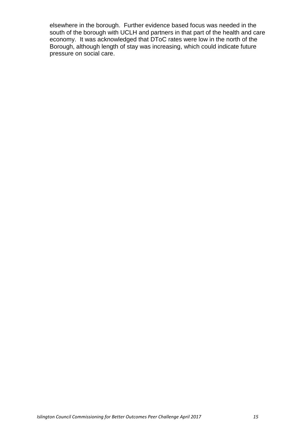elsewhere in the borough. Further evidence based focus was needed in the south of the borough with UCLH and partners in that part of the health and care economy. It was acknowledged that DToC rates were low in the north of the Borough, although length of stay was increasing, which could indicate future pressure on social care.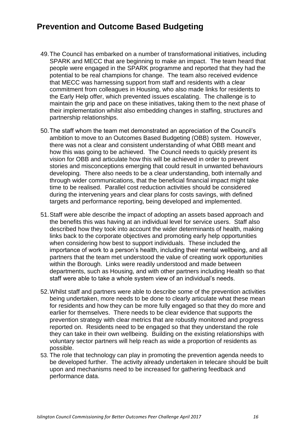## **Prevention and Outcome Based Budgeting**

- 49.The Council has embarked on a number of transformational initiatives, including SPARK and MECC that are beginning to make an impact. The team heard that people were engaged in the SPARK programme and reported that they had the potential to be real champions for change. The team also received evidence that MECC was harnessing support from staff and residents with a clear commitment from colleagues in Housing, who also made links for residents to the Early Help offer, which prevented issues escalating. The challenge is to maintain the grip and pace on these initiatives, taking them to the next phase of their implementation whilst also embedding changes in staffing, structures and partnership relationships.
- 50.The staff whom the team met demonstrated an appreciation of the Council's ambition to move to an Outcomes Based Budgeting (OBB) system. However, there was not a clear and consistent understanding of what OBB meant and how this was going to be achieved. The Council needs to quickly present its vision for OBB and articulate how this will be achieved in order to prevent stories and misconceptions emerging that could result in unwanted behaviours developing. There also needs to be a clear understanding, both internally and through wider communications, that the beneficial financial impact might take time to be realised. Parallel cost reduction activities should be considered during the intervening years and clear plans for costs savings, with defined targets and performance reporting, being developed and implemented.
- 51.Staff were able describe the impact of adopting an assets based approach and the benefits this was having at an individual level for service users. Staff also described how they took into account the wider determinants of health, making links back to the corporate objectives and promoting early help opportunities when considering how best to support individuals. These included the importance of work to a person's health, including their mental wellbeing, and all partners that the team met understood the value of creating work opportunities within the Borough. Links were readily understood and made between departments, such as Housing, and with other partners including Health so that staff were able to take a whole system view of an individual's needs.
- 52.Whilst staff and partners were able to describe some of the prevention activities being undertaken, more needs to be done to clearly articulate what these mean for residents and how they can be more fully engaged so that they do more and earlier for themselves. There needs to be clear evidence that supports the prevention strategy with clear metrics that are robustly monitored and progress reported on. Residents need to be engaged so that they understand the role they can take in their own wellbeing. Building on the existing relationships with voluntary sector partners will help reach as wide a proportion of residents as possible.
- 53. The role that technology can play in promoting the prevention agenda needs to be developed further. The activity already undertaken in telecare should be built upon and mechanisms need to be increased for gathering feedback and performance data.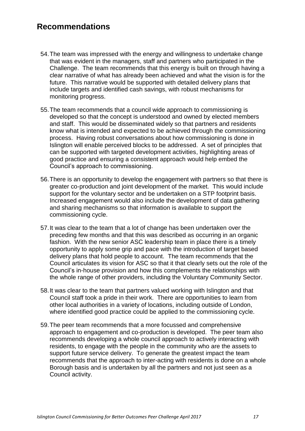#### **Recommendations**

- 54.The team was impressed with the energy and willingness to undertake change that was evident in the managers, staff and partners who participated in the Challenge. The team recommends that this energy is built on through having a clear narrative of what has already been achieved and what the vision is for the future. This narrative would be supported with detailed delivery plans that include targets and identified cash savings, with robust mechanisms for monitoring progress.
- 55.The team recommends that a council wide approach to commissioning is developed so that the concept is understood and owned by elected members and staff. This would be disseminated widely so that partners and residents know what is intended and expected to be achieved through the commissioning process. Having robust conversations about how commissioning is done in Islington will enable perceived blocks to be addressed. A set of principles that can be supported with targeted development activities, highlighting areas of good practice and ensuring a consistent approach would help embed the Council's approach to commissioning.
- 56.There is an opportunity to develop the engagement with partners so that there is greater co-production and joint development of the market. This would include support for the voluntary sector and be undertaken on a STP footprint basis. Increased engagement would also include the development of data gathering and sharing mechanisms so that information is available to support the commissioning cycle.
- 57.It was clear to the team that a lot of change has been undertaken over the preceding few months and that this was described as occurring in an organic fashion. With the new senior ASC leadership team in place there is a timely opportunity to apply some grip and pace with the introduction of target based delivery plans that hold people to account. The team recommends that the Council articulates its vision for ASC so that it that clearly sets out the role of the Council's in-house provision and how this complements the relationships with the whole range of other providers, including the Voluntary Community Sector.
- 58.It was clear to the team that partners valued working with Islington and that Council staff took a pride in their work. There are opportunities to learn from other local authorities in a variety of locations, including outside of London, where identified good practice could be applied to the commissioning cycle.
- 59.The peer team recommends that a more focussed and comprehensive approach to engagement and co-production is developed. The peer team also recommends developing a whole council approach to actively interacting with residents, to engage with the people in the community who are the assets to support future service delivery. To generate the greatest impact the team recommends that the approach to inter-acting with residents is done on a whole Borough basis and is undertaken by all the partners and not just seen as a Council activity.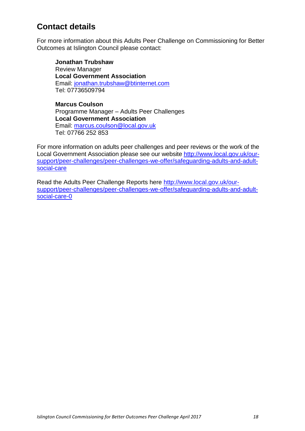## **Contact details**

For more information about this Adults Peer Challenge on Commissioning for Better Outcomes at Islington Council please contact:

**Jonathan Trubshaw** Review Manager **Local Government Association** Email: [jonathan.trubshaw@btinternet.com](mailto:jonathan.trubshaw@btinternet.com) Tel: 07736509794

**Marcus Coulson** Programme Manager – Adults Peer Challenges **Local Government Association** Email: [marcus.coulson@local.gov.uk](mailto:marcus.coulson@local.gov.uk) Tel: 07766 252 853

For more information on adults peer challenges and peer reviews or the work of the Local Government Association please see our website [http://www.local.gov.uk/our](http://www.local.gov.uk/our-support/peer-challenges/peer-challenges-we-offer/safeguarding-adults-and-adult-social-care)[support/peer-challenges/peer-challenges-we-offer/safeguarding-adults-and-adult](http://www.local.gov.uk/our-support/peer-challenges/peer-challenges-we-offer/safeguarding-adults-and-adult-social-care)[social-care](http://www.local.gov.uk/our-support/peer-challenges/peer-challenges-we-offer/safeguarding-adults-and-adult-social-care)

Read the Adults Peer Challenge Reports here http://www.local.gov.uk/oursupport/peer-challenges/peer-challenges-we-offer/safeguarding-adults-and-adultsocial-care-0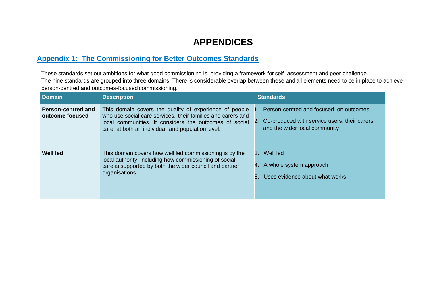# **APPENDICES**

#### **Appendix 1: The Commissioning for Better Outcomes Standards**

These standards set out ambitions for what good commissioning is, providing a framework for self- assessment and peer challenge. The nine standards are grouped into three domains. There is considerable overlap between these and all elements need to be in place to achieve person-centred and outcomes-focused commissioning.

| <b>Domain</b>                                | <b>Description</b>                                                                                                                                                                                                                  | <b>Standards</b>                                                                                                              |
|----------------------------------------------|-------------------------------------------------------------------------------------------------------------------------------------------------------------------------------------------------------------------------------------|-------------------------------------------------------------------------------------------------------------------------------|
| <b>Person-centred and</b><br>outcome focused | This domain covers the quality of experience of people<br>who use social care services, their families and carers and<br>local communities. It considers the outcomes of social<br>care at both an individual and population level. | 1. Person-centred and focused on outcomes<br>2. Co-produced with service users, their carers<br>and the wider local community |
| Well led                                     | This domain covers how well led commissioning is by the<br>local authority, including how commissioning of social<br>care is supported by both the wider council and partner<br>organisations.                                      | 3. Well led<br>4. A whole system approach<br>Uses evidence about what works                                                   |